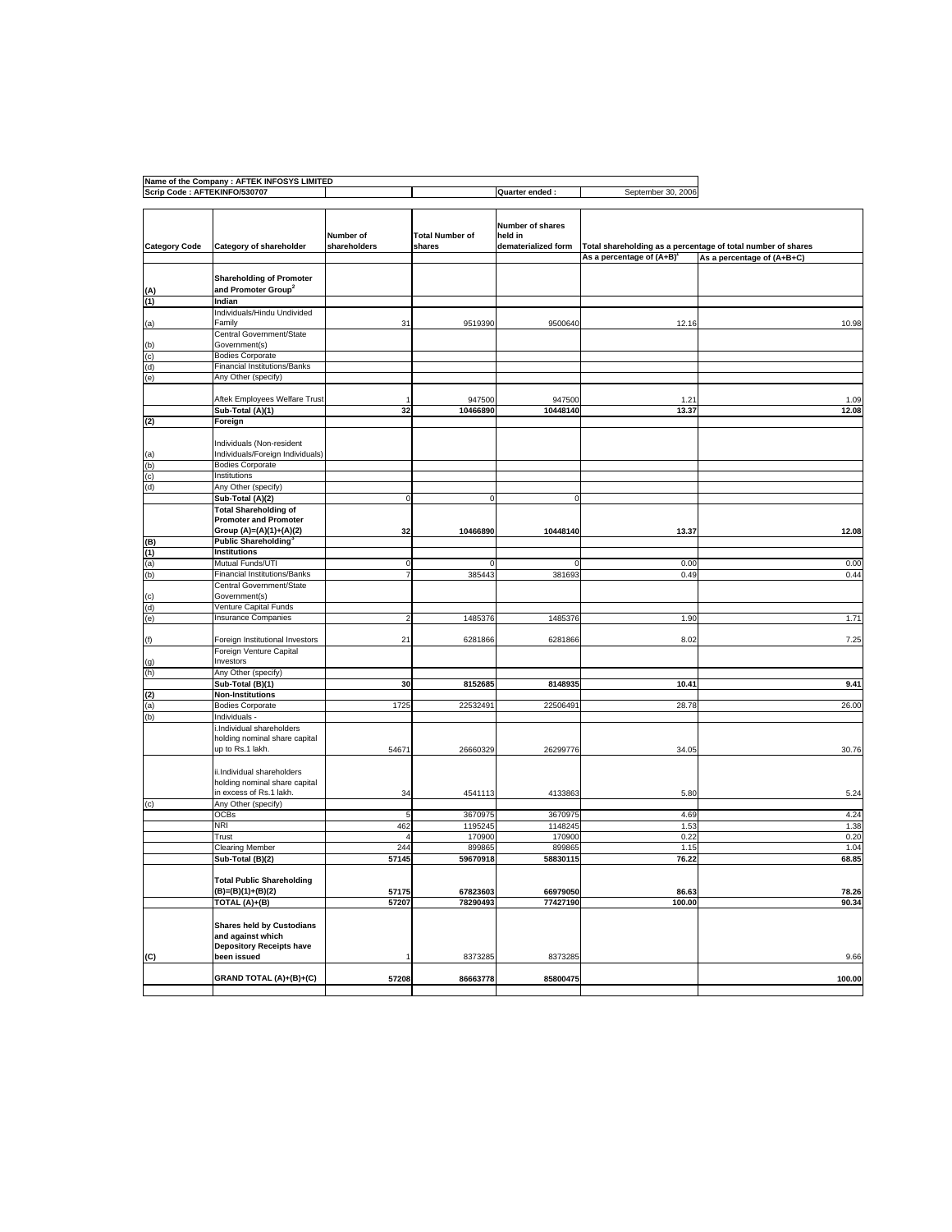| Scrip Code: AFTEKINFO/530707 | Name of the Company : AFTEK INFOSYS LIMITED              |                         |                        | Quarter ended:              | September 30, 2006                    |                                                              |
|------------------------------|----------------------------------------------------------|-------------------------|------------------------|-----------------------------|---------------------------------------|--------------------------------------------------------------|
|                              |                                                          |                         |                        |                             |                                       |                                                              |
|                              |                                                          |                         |                        |                             |                                       |                                                              |
|                              |                                                          | Number of               | <b>Total Number of</b> | Number of shares<br>held in |                                       |                                                              |
| <b>Category Code</b>         | Category of shareholder                                  | shareholders            | shares                 | dematerialized form         |                                       | Total shareholding as a percentage of total number of shares |
|                              |                                                          |                         |                        |                             | As a percentage of (A+B) <sup>1</sup> | As a percentage of (A+B+C)                                   |
|                              |                                                          |                         |                        |                             |                                       |                                                              |
|                              | <b>Shareholding of Promoter</b>                          |                         |                        |                             |                                       |                                                              |
|                              | and Promoter Group <sup>2</sup>                          |                         |                        |                             |                                       |                                                              |
| (1)                          | Indian<br>Individuals/Hindu Undivided                    |                         |                        |                             |                                       |                                                              |
| (a)                          | Family                                                   | 31                      | 9519390                | 9500640                     | 12.16                                 | 10.98                                                        |
|                              | Central Government/State                                 |                         |                        |                             |                                       |                                                              |
| (b)                          | Government(s)                                            |                         |                        |                             |                                       |                                                              |
| (c)                          | <b>Bodies Corporate</b>                                  |                         |                        |                             |                                       |                                                              |
| (d)                          | Financial Institutions/Banks                             |                         |                        |                             |                                       |                                                              |
| (e)                          | Any Other (specify)                                      |                         |                        |                             |                                       |                                                              |
|                              |                                                          |                         |                        |                             |                                       |                                                              |
|                              | Aftek Employees Welfare Trust                            |                         | 947500                 | 947500                      | 1.21                                  | 1.09                                                         |
|                              | Sub-Total (A)(1)                                         | 32                      | 10466890               | 10448140                    | 13.37                                 | 12.08                                                        |
| (2)                          | Foreign                                                  |                         |                        |                             |                                       |                                                              |
|                              | Individuals (Non-resident                                |                         |                        |                             |                                       |                                                              |
| (a)                          | Individuals/Foreign Individuals)                         |                         |                        |                             |                                       |                                                              |
| (b)                          | <b>Bodies Corporate</b>                                  |                         |                        |                             |                                       |                                                              |
| (c)                          | Institutions                                             |                         |                        |                             |                                       |                                                              |
| (d)                          | Any Other (specify)                                      |                         |                        |                             |                                       |                                                              |
|                              | Sub-Total (A)(2)                                         |                         | $\circ$                |                             |                                       |                                                              |
|                              | <b>Total Shareholding of</b>                             |                         |                        |                             |                                       |                                                              |
|                              | <b>Promoter and Promoter</b>                             |                         |                        |                             |                                       |                                                              |
|                              | Group (A)=(A)(1)+(A)(2)                                  | 32                      | 10466890               | 10448140                    | 13.37                                 | 12.08                                                        |
| (B)                          | <b>Public Shareholding</b> <sup>3</sup><br>Institutions  |                         |                        |                             |                                       |                                                              |
| (1)<br>(a)                   | Mutual Funds/UTI                                         | $\circ$                 |                        |                             | 0.00                                  | 0.00                                                         |
| (b)                          | Financial Institutions/Banks                             | $\overline{7}$          | 385443                 | 381693                      | 0.49                                  | 0.44                                                         |
|                              | Central Government/State                                 |                         |                        |                             |                                       |                                                              |
| (c)                          | Government(s)                                            |                         |                        |                             |                                       |                                                              |
| (d)                          | Venture Capital Funds                                    |                         |                        |                             |                                       |                                                              |
| (e)                          | <b>Insurance Companies</b>                               | $\overline{\mathbf{c}}$ | 1485376                | 1485376                     | 1.90                                  | 1.71                                                         |
|                              |                                                          |                         |                        |                             |                                       |                                                              |
| (f)                          | Foreign Institutional Investors                          | 21                      | 6281866                | 6281866                     | 8.02                                  | 7.25                                                         |
|                              | Foreign Venture Capital<br>Investors                     |                         |                        |                             |                                       |                                                              |
| (g)<br>(h)                   | Any Other (specify)                                      |                         |                        |                             |                                       |                                                              |
|                              | Sub-Total (B)(1)                                         | 30                      | 8152685                | 8148935                     | 10.41                                 | 9.41                                                         |
| (2)                          | <b>Non-Institutions</b>                                  |                         |                        |                             |                                       |                                                              |
| (a)                          | <b>Bodies Corporate</b>                                  | 1725                    | 22532491               | 22506491                    | 28.78                                 | 26.00                                                        |
| (b)                          | Individuals -                                            |                         |                        |                             |                                       |                                                              |
|                              | .Individual shareholders                                 |                         |                        |                             |                                       |                                                              |
|                              | holding nominal share capital                            |                         |                        |                             |                                       |                                                              |
|                              | up to Rs.1 lakh.                                         | 54671                   | 26660329               | 26299776                    | 34.05                                 | 30.76                                                        |
|                              |                                                          |                         |                        |                             |                                       |                                                              |
|                              | ii.Individual shareholders                               |                         |                        |                             |                                       |                                                              |
|                              | holding nominal share capital<br>in excess of Rs.1 lakh. | 34                      | 4541113                | 4133863                     | 5.80                                  | 5.24                                                         |
| (c)                          | Any Other (specify)                                      |                         |                        |                             |                                       |                                                              |
|                              | OCBs                                                     | $\sqrt{5}$              | 3670975                | 3670975                     | 4.69                                  | 4.24                                                         |
|                              | NRI                                                      | 462                     | 1195245                | 1148245                     | 1.53                                  | 1.38                                                         |
|                              | Trust                                                    | $\overline{4}$          | 170900                 | 170900                      | 0.22                                  | 0.20                                                         |
|                              | Clearing Member                                          | 244                     | 899865                 | 899865                      | 1.15                                  | 1.04                                                         |
|                              | Sub-Total (B)(2)                                         | 57145                   | 59670918               | 58830115                    | 76.22                                 | 68.85                                                        |
|                              |                                                          |                         |                        |                             |                                       |                                                              |
|                              | <b>Total Public Shareholding</b>                         |                         |                        |                             |                                       |                                                              |
|                              | (B)=(B)(1)+(B)(2)                                        | 57175                   | 67823603               | 66979050                    | 86.63                                 | 78.26                                                        |
|                              | TOTAL (A)+(B)                                            | 57207                   | 78290493               | 77427190                    | 100.00                                | 90.34                                                        |
|                              |                                                          |                         |                        |                             |                                       |                                                              |
|                              | <b>Shares held by Custodians</b><br>and against which    |                         |                        |                             |                                       |                                                              |
|                              | <b>Depository Receipts have</b>                          |                         |                        |                             |                                       |                                                              |
| (C)                          | been issued                                              |                         | 8373285                | 8373285                     |                                       | 9.66                                                         |
|                              |                                                          |                         |                        |                             |                                       |                                                              |
|                              | GRAND TOTAL (A)+(B)+(C)                                  | 57208                   | 86663778               | 85800475                    |                                       | 100.00                                                       |
|                              |                                                          |                         |                        |                             |                                       |                                                              |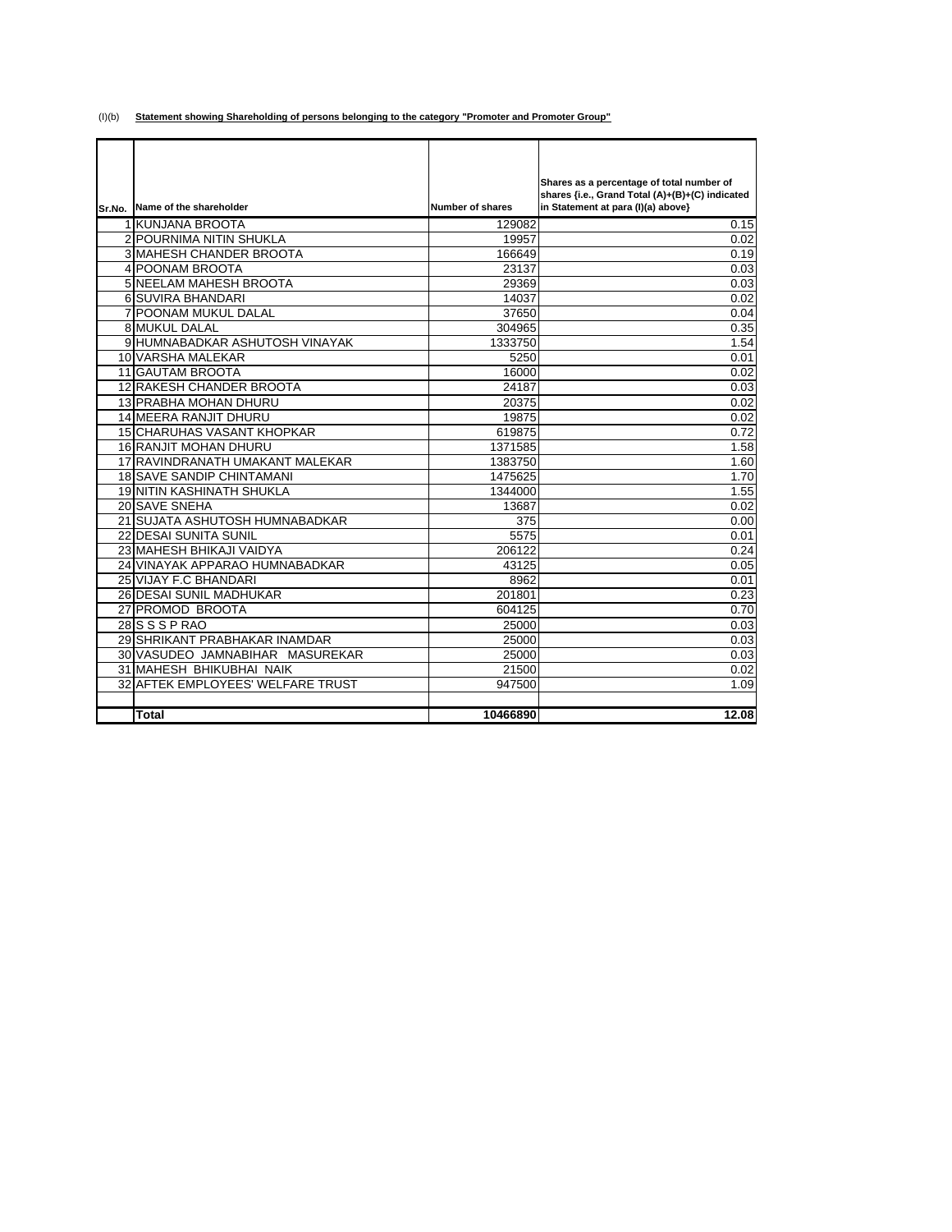(I)(b) **Statement showing Shareholding of persons belonging to the category "Promoter and Promoter Group"**

|                                   |                         | Shares as a percentage of total number of       |
|-----------------------------------|-------------------------|-------------------------------------------------|
|                                   |                         | shares {i.e., Grand Total (A)+(B)+(C) indicated |
| Sr.No. Name of the shareholder    | <b>Number of shares</b> | in Statement at para (I)(a) above}              |
| 1 KUNJANA BROOTA                  | 129082                  | 0.15                                            |
| 2 POURNIMA NITIN SHUKLA           | 19957                   | 0.02                                            |
| <b>3 MAHESH CHANDER BROOTA</b>    | 166649                  | 0.19                                            |
| 4 POONAM BROOTA                   | 23137                   | 0.03                                            |
| <b>5 NEELAM MAHESH BROOTA</b>     | 29369                   | 0.03                                            |
| 6 SUVIRA BHANDARI                 | 14037                   | 0.02                                            |
| <b>7 POONAM MUKUL DALAL</b>       | 37650                   | 0.04                                            |
| <b>8 MUKUL DALAL</b>              | 304965                  | 0.35                                            |
| 9 HUMNABADKAR ASHUTOSH VINAYAK    | 1333750                 | 1.54                                            |
| 10 VARSHA MALEKAR                 | 5250                    | 0.01                                            |
| <b>11 GAUTAM BROOTA</b>           | 16000                   | 0.02                                            |
| 12 RAKESH CHANDER BROOTA          | 24187                   | 0.03                                            |
| <b>13 PRABHA MOHAN DHURU</b>      | 20375                   | 0.02                                            |
| 14 MEERA RANJIT DHURU             | 19875                   | 0.02                                            |
| <b>15 CHARUHAS VASANT KHOPKAR</b> | 619875                  | 0.72                                            |
| <b>16 RANJIT MOHAN DHURU</b>      | 1371585                 | 1.58                                            |
| 17 RAVINDRANATH UMAKANT MALEKAR   | 1383750                 | 1.60                                            |
| <b>18 SAVE SANDIP CHINTAMANI</b>  | 1475625                 | 1.70                                            |
| <b>19 NITIN KASHINATH SHUKLA</b>  | 1344000                 | 1.55                                            |
| 20 SAVE SNEHA                     | 13687                   | 0.02                                            |
| 21 SUJATA ASHUTOSH HUMNABADKAR    | 375                     | 0.00                                            |
| 22 DESAI SUNITA SUNIL             | 5575                    | 0.01                                            |
| 23 MAHESH BHIKAJI VAIDYA          | 206122                  | 0.24                                            |
| 24 VINAYAK APPARAO HUMNABADKAR    | 43125                   | 0.05                                            |
| 25 VIJAY F.C BHANDARI             | 8962                    | 0.01                                            |
| 26 DESAI SUNIL MADHUKAR           | 201801                  | 0.23                                            |
| 27 PROMOD BROOTA                  | 604125                  | 0.70                                            |
| 28 S S P RAO                      | 25000                   | 0.03                                            |
| 29 SHRIKANT PRABHAKAR INAMDAR     | 25000                   | 0.03                                            |
| 30 VASUDEO JAMNABIHAR MASUREKAR   | 25000                   | 0.03                                            |
| 31 MAHESH BHIKUBHAI NAIK          | 21500                   | 0.02                                            |
| 32 AFTEK EMPLOYEES' WELFARE TRUST | 947500                  | 1.09                                            |
|                                   |                         |                                                 |
| <b>Total</b>                      | 10466890                | 12.08                                           |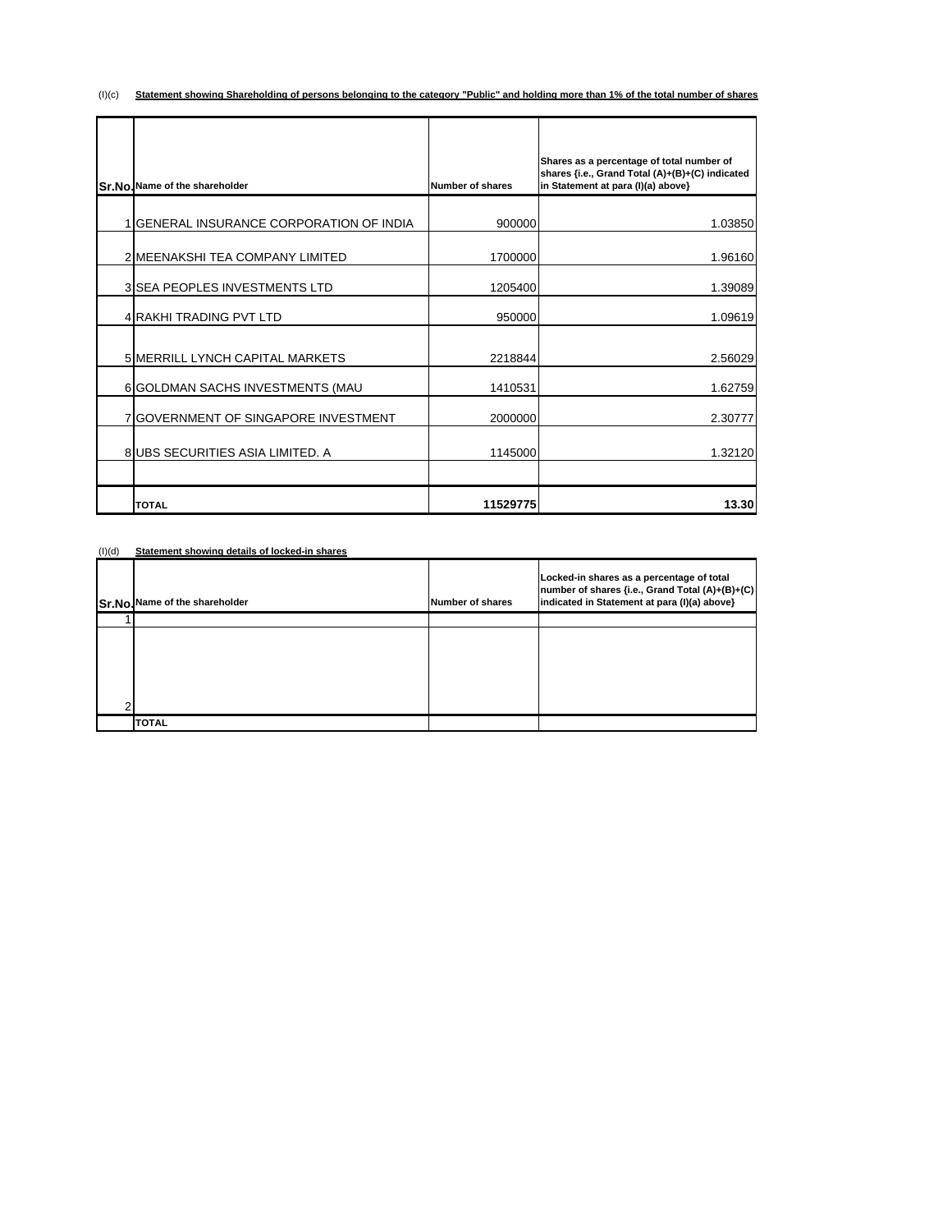(I)(c) **Statement showing Shareholding of persons belonging to the category "Public" and holding more than 1% of the total number of shares**

| Sr.No.Name of the shareholder               | Number of shares | Shares as a percentage of total number of<br>shares {i.e., Grand Total (A)+(B)+(C) indicated<br>in Statement at para (I)(a) above} |
|---------------------------------------------|------------------|------------------------------------------------------------------------------------------------------------------------------------|
|                                             |                  |                                                                                                                                    |
| 1 GENERAL INSURANCE CORPORATION OF INDIA    | 900000           | 1.03850                                                                                                                            |
| 2 MEENAKSHI TEA COMPANY LIMITED             | 1700000          | 1.96160                                                                                                                            |
| 3 SEA PEOPLES INVESTMENTS LTD               | 1205400          | 1.39089                                                                                                                            |
| 4 RAKHI TRADING PVT LTD                     | 950000           | 1.09619                                                                                                                            |
| 5 MERRILL LYNCH CAPITAL MARKETS             | 2218844          | 2.56029                                                                                                                            |
| 6 GOLDMAN SACHS INVESTMENTS (MAU            | 1410531          | 1.62759                                                                                                                            |
| <b>7 GOVERNMENT OF SINGAPORE INVESTMENT</b> | 2000000          | 2.30777                                                                                                                            |
| 8 UBS SECURITIES ASIA LIMITED. A            | 1145000          | 1.32120                                                                                                                            |
| <b>TOTAL</b>                                | 11529775         | 13.30                                                                                                                              |

(I)(d) **Statement showing details of locked-in shares**

| Sr.No. Name of the shareholder | <b>Number of shares</b> | Locked-in shares as a percentage of total<br>number of shares {i.e., Grand Total (A)+(B)+(C)<br>indicated in Statement at para (I)(a) above} |
|--------------------------------|-------------------------|----------------------------------------------------------------------------------------------------------------------------------------------|
|                                |                         |                                                                                                                                              |
|                                |                         |                                                                                                                                              |
| <b>TOTAL</b>                   |                         |                                                                                                                                              |